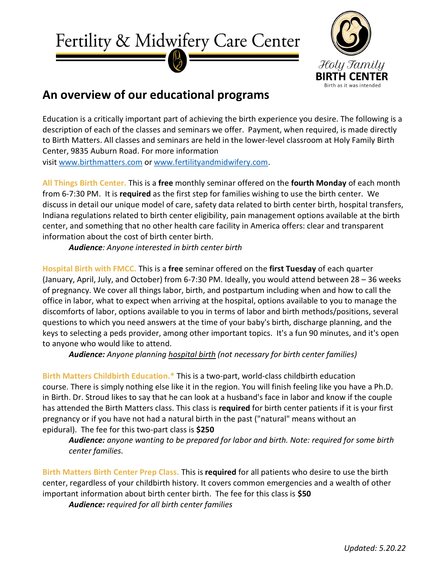



## An overview of our educational programs

Education is a critically important part of achieving the birth experience you desire. The following is a description of each of the classes and seminars we offer. Payment, when required, is made directly to Birth Matters. All classes and seminars are held in the lower-level classroom at Holy Family Birth Center, 9835 Auburn Road. For more information visit www.birthmatters.com or www.fertilityandmidwifery.com.

All Things Birth Center. This is a free monthly seminar offered on the fourth Monday of each month from 6-7:30 PM. It is required as the first step for families wishing to use the birth center. We discuss in detail our unique model of care, safety data related to birth center birth, hospital transfers, Indiana regulations related to birth center eligibility, pain management options available at the birth center, and something that no other health care facility in America offers: clear and transparent information about the cost of birth center birth.

Audience: Anyone interested in birth center birth

Hospital Birth with FMCC. This is a free seminar offered on the first Tuesday of each quarter (January, April, July, and October) from 6-7:30 PM. Ideally, you would attend between 28 – 36 weeks of pregnancy. We cover all things labor, birth, and postpartum including when and how to call the office in labor, what to expect when arriving at the hospital, options available to you to manage the discomforts of labor, options available to you in terms of labor and birth methods/positions, several questions to which you need answers at the time of your baby's birth, discharge planning, and the keys to selecting a peds provider, among other important topics. It's a fun 90 minutes, and it's open to anyone who would like to attend.

Audience: Anyone planning hospital birth (not necessary for birth center families)

Birth Matters Childbirth Education.\* This is a two-part, world-class childbirth education course. There is simply nothing else like it in the region. You will finish feeling like you have a Ph.D. in Birth. Dr. Stroud likes to say that he can look at a husband's face in labor and know if the couple has attended the Birth Matters class. This class is required for birth center patients if it is your first pregnancy or if you have not had a natural birth in the past ("natural" means without an epidural). The fee for this two-part class is \$250

Audience: anyone wanting to be prepared for labor and birth. Note: required for some birth center families.

Birth Matters Birth Center Prep Class. This is required for all patients who desire to use the birth center, regardless of your childbirth history. It covers common emergencies and a wealth of other important information about birth center birth. The fee for this class is \$50

Audience: required for all birth center families